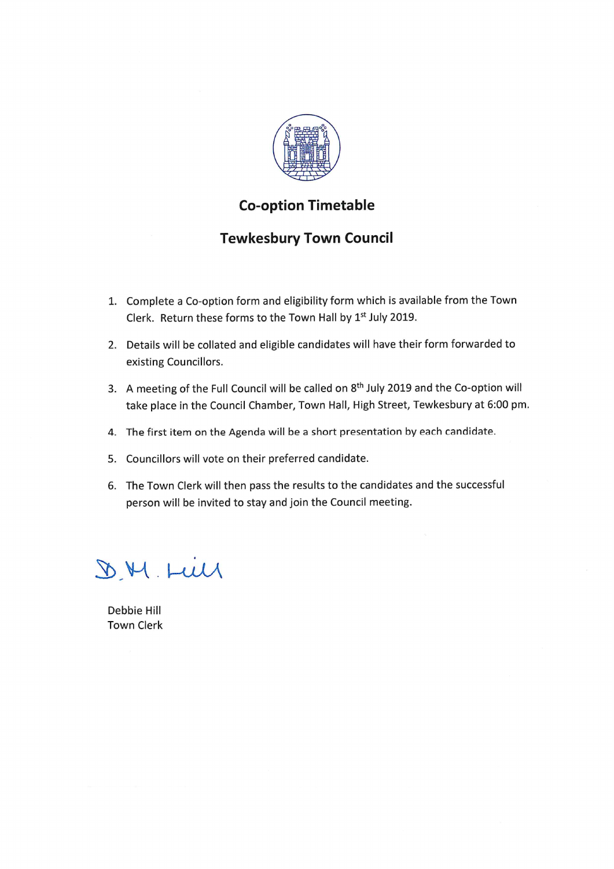

### **Co-option Timetable**

## **Tewkesbury Town Council**

- 1. Complete a Co-option form and eligibility form which is available from the Town Clerk. Return these forms to the Town Hall by 1st July 2019.
- 2. Details will be collated and eligible candidates will have their form forwarded to existing Councillors.
- 3. A meeting of the Full Council will be called on 8<sup>th</sup> July 2019 and the Co-option will take place in the Council Chamber, Town Hall, High Street, Tewkesbury at 6:00 pm.
- 4. The first item on the Agenda will be a short presentation by each candidate.
- 5. Councillors will vote on their preferred candidate.
- 6. The Town Clerk will then pass the results to the candidates and the successful person will be invited to stay and join the Council meeting.

D.M LW

Debbie Hill **Town Clerk**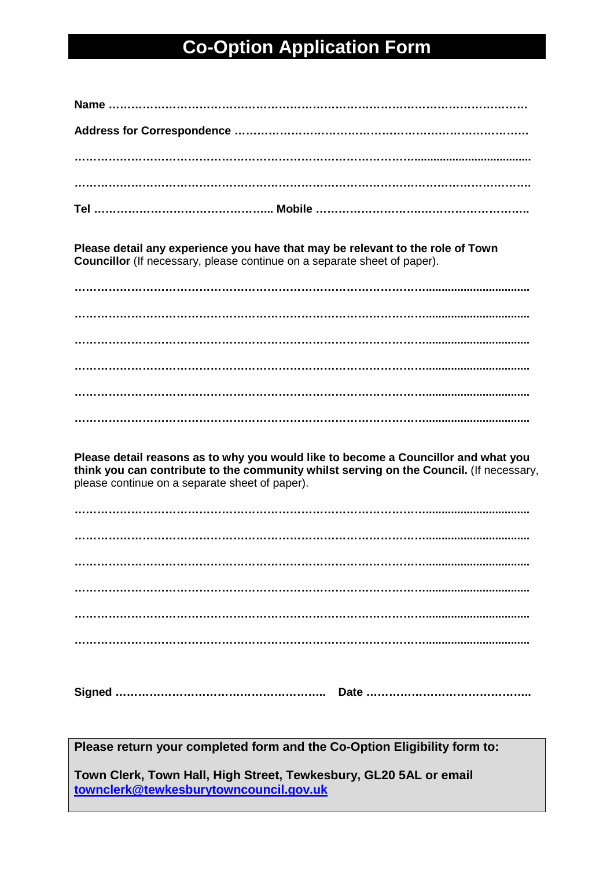## **Co-Option Application Form**

**Please detail any experience you have that may be relevant to the role of Town Councillor** (If necessary, please continue on a separate sheet of paper).

**…………………………………………………………………………………................................. …………………………………………………………………………………................................. …………………………………………………………………………………................................. …………………………………………………………………………………................................. ………………………………………………………………………………….................................**

**Please detail reasons as to why you would like to become a Councillor and what you think you can contribute to the community whilst serving on the Council.** (If necessary, please continue on a separate sheet of paper).

**Signed ……………………………………………….. Date ……………………………………..**

**Please return your completed form and the Co-Option Eligibility form to:**

**Town Clerk, Town Hall, High Street, Tewkesbury, GL20 5AL or email [townclerk@tewkesburytowncouncil.gov.uk](mailto:townclerk@tewkesburytowncouncil.gov.uk)**